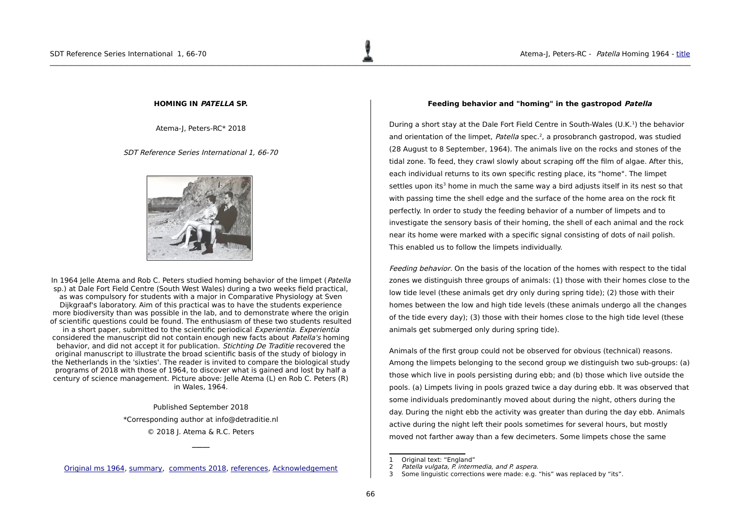# <span id="page-0-0"></span>**HOMING IN PATELLA SP.**

Atema-J, Peters-RC\* 2018

## SDT Reference Series International 1, 66-70



In 1964 Jelle Atema and Rob C. Peters studied homing behavior of the limpet (*Patella*) sp.) at Dale Fort Field Centre (South West Wales) during a two weeks field practical, as was compulsory for students with a major in Comparative Physiology at Sven Dijkgraaf's laboratory. Aim of this practical was to have the students experience more biodiversity than was possible in the lab, and to demonstrate where the origin of scientific questions could be found. The enthusiasm of these two students resulted in a short paper, submitted to the scientific periodical *Experientia. Experientia* considered the manuscript did not contain enough new facts about Patella's homing behavior, and did not accept it for publication. *Stichting De Traditie* recovered the original manuscript to illustrate the broad scientific basis of the study of biology in the Netherlands in the 'sixties'. The reader is invited to compare the biological study programs of 2018 with those of 1964, to discover what is gained and lost by half a century of science management. Picture above: Jelle Atema (L) en Rob C. Peters (R) in Wales, 1964.

> Published September 2018 \*Corresponding author at info@detraditie.nl © 2018 J. Atema & R.C. Peters

Original ms 1964, [summary,](#page-1-0) [comments 2018,](#page-2-0) [references,](#page-3-0) [Acknowledgement](#page-4-0)

**\_\_\_\_\_**

## <span id="page-0-1"></span>**Feeding behavior and "homing" in the gastropod Patella**

During a short stay at the Dale Fort Field Centre in South-Wales (U.K.<sup>[1](#page-0-2)</sup>) the behavior and orientation of the limpet, Patella spec.<sup>[2](#page-0-3)</sup>, a prosobranch gastropod, was studied (28 August to 8 September, 1964). The animals live on the rocks and stones of the tidal zone. To feed, they crawl slowly about scraping off the film of algae. After this, each individual returns to its own specific resting place, its "home". The limpet settles upon its<sup>[3](#page-0-4)</sup> home in much the same way a bird adjusts itself in its nest so that with passing time the shell edge and the surface of the home area on the rock fit perfectly. In order to study the feeding behavior of a number of limpets and to investigate the sensory basis of their homing, the shell of each animal and the rock near its home were marked with a specific signal consisting of dots of nail polish. This enabled us to follow the limpets individually.

Feeding behavior. On the basis of the location of the homes with respect to the tidal zones we distinguish three groups of animals: (1) those with their homes close to the low tide level (these animals get dry only during spring tide); (2) those with their homes between the low and high tide levels (these animals undergo all the changes of the tide every day); (3) those with their homes close to the high tide level (these animals get submerged only during spring tide).

Animals of the first group could not be observed for obvious (technical) reasons. Among the limpets belonging to the second group we distinguish two sub-groups: (a) those which live in pools persisting during ebb; and (b) those which live outside the pools. (a) Limpets living in pools grazed twice a day during ebb. It was observed that some individuals predominantly moved about during the night, others during the day. During the night ebb the activity was greater than during the day ebb. Animals active during the night left their pools sometimes for several hours, but mostly moved not farther away than a few decimeters. Some limpets chose the same

<span id="page-0-3"></span><span id="page-0-2"></span><sup>1</sup> Original text: "England"<br>2 Patella vulgata, P. interm

<sup>2</sup> Patella vulgata, P. intermedia, and P. aspera.<br>3 Some linguistic corrections were made: e.g.

<span id="page-0-4"></span>Some linguistic corrections were made: e.g. "his" was replaced by "its".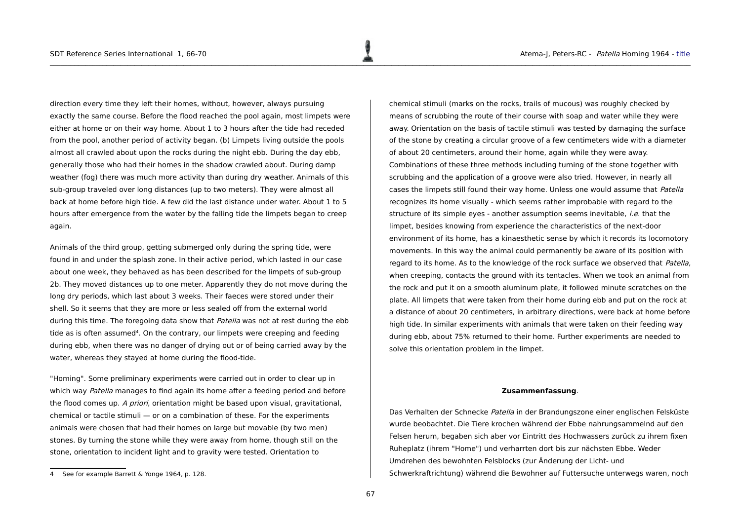direction every time they left their homes, without, however, always pursuing exactly the same course. Before the flood reached the pool again, most limpets were either at home or on their way home. About 1 to 3 hours after the tide had receded from the pool, another period of activity began. (b) Limpets living outside the pools almost all crawled about upon the rocks during the night ebb. During the day ebb, generally those who had their homes in the shadow crawled about. During damp weather (fog) there was much more activity than during dry weather. Animals of this sub-group traveled over long distances (up to two meters). They were almost all back at home before high tide. A few did the last distance under water. About 1 to 5 hours after emergence from the water by the falling tide the limpets began to creep again.

Animals of the third group, getting submerged only during the spring tide, were found in and under the splash zone. In their active period, which lasted in our case about one week, they behaved as has been described for the limpets of sub-group 2b. They moved distances up to one meter. Apparently they do not move during the long dry periods, which last about 3 weeks. Their faeces were stored under their shell. So it seems that they are more or less sealed off from the external world during this time. The foregoing data show that *Patella* was not at rest during the ebb tide as is often assumed<sup>[4](#page-1-1)</sup>. On the contrary, our limpets were creeping and feeding during ebb, when there was no danger of drying out or of being carried away by the water, whereas they stayed at home during the flood-tide.

"Homing". Some preliminary experiments were carried out in order to clear up in which way Patella manages to find again its home after a feeding period and before the flood comes up. A priori, orientation might be based upon visual, gravitational, chemical or tactile stimuli — or on a combination of these. For the experiments animals were chosen that had their homes on large but movable (by two men) stones. By turning the stone while they were away from home, though still on the stone, orientation to incident light and to gravity were tested. Orientation to

chemical stimuli (marks on the rocks, trails of mucous) was roughly checked by means of scrubbing the route of their course with soap and water while they were away. Orientation on the basis of tactile stimuli was tested by damaging the surface of the stone by creating a circular groove of a few centimeters wide with a diameter of about 20 centimeters, around their home, again while they were away. Combinations of these three methods including turning of the stone together with scrubbing and the application of a groove were also tried. However, in nearly all cases the limpets still found their way home. Unless one would assume that Patella recognizes its home visually - which seems rather improbable with regard to the structure of its simple eyes - another assumption seems inevitable, *i.e.* that the limpet, besides knowing from experience the characteristics of the next-door environment of its home, has a kinaesthetic sense by which it records its locomotory movements. In this way the animal could permanently be aware of its position with regard to its home. As to the knowledge of the rock surface we observed that Patella, when creeping, contacts the ground with its tentacles. When we took an animal from the rock and put it on a smooth aluminum plate, it followed minute scratches on the plate. All limpets that were taken from their home during ebb and put on the rock at a distance of about 20 centimeters, in arbitrary directions, were back at home before high tide. In similar experiments with animals that were taken on their feeding way during ebb, about 75% returned to their home. Further experiments are needed to solve this orientation problem in the limpet.

# <span id="page-1-0"></span>**Zusammenfassung**.

Das Verhalten der Schnecke Patella in der Brandungszone einer englischen Felsküste wurde beobachtet. Die Tiere krochen während der Ebbe nahrungsammelnd auf den Felsen herum, begaben sich aber vor Eintritt des Hochwassers zurück zu ihrem fixen Ruheplatz (ihrem "Home") und verharrten dort bis zur nächsten Ebbe. Weder Umdrehen des bewohnten Felsblocks (zur Änderung der Licht- und Schwerkraftrichtung) während die Bewohner auf Futtersuche unterwegs waren, noch

<span id="page-1-1"></span><sup>4</sup> See for example Barrett & Yonge 1964, p. 128.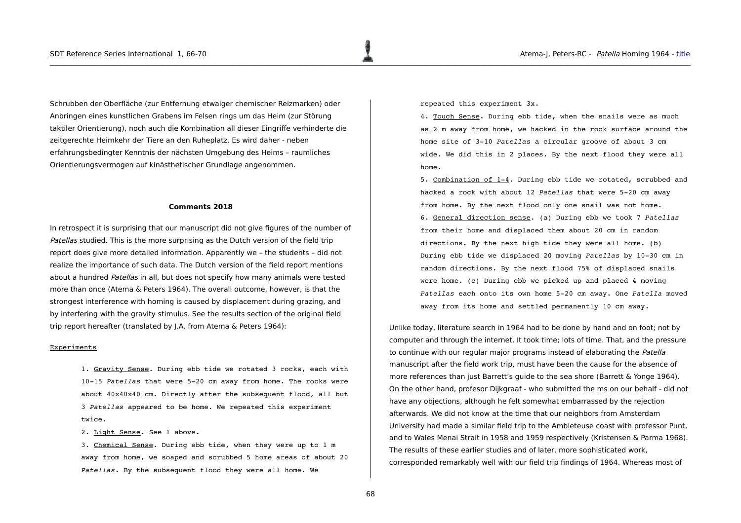Schrubben der Oberfläche (zur Entfernung etwaiger chemischer Reizmarken) oder Anbringen eines kunstlichen Grabens im Felsen rings um das Heim (zur Störung taktiler Orientierung), noch auch die Kombination all dieser Eingriffe verhinderte die zeitgerechte Heimkehr der Tiere an den Ruheplatz. Es wird daher - neben erfahrungsbedingter Kenntnis der nächsten Umgebung des Heims – raumliches Orientierungsvermogen auf kinästhetischer Grundlage angenommen.

## <span id="page-2-0"></span>**Comments 2018**

In retrospect it is surprising that our manuscript did not give figures of the number of Patellas studied. This is the more surprising as the Dutch version of the field trip report does give more detailed information. Apparently we – the students – did not realize the importance of such data. The Dutch version of the field report mentions about a hundred Patellas in all, but does not specify how many animals were tested more than once (Atema & Peters 1964). The overall outcome, however, is that the strongest interference with homing is caused by displacement during grazing, and by interfering with the gravity stimulus. See the results section of the original field trip report hereafter (translated by J.A. from Atema & Peters 1964):

#### Experiments

1. Gravity Sense. During ebb tide we rotated 3 rocks, each with 10-15 Patellas that were 5-20 cm away from home. The rocks were about 40x40x40 cm. Directly after the subsequent flood, all but 3 *Patellas* appeared to be home. We repeated this experiment twice.

2. Light Sense. See 1 above.

3. Chemical Sense. During ebb tide, when they were up to 1 m away from home, we soaped and scrubbed 5 home areas of about 20 *Patellas*. By the subsequent flood they were all home. We

repeated this experiment 3x.

4. Touch Sense. During ebb tide, when the snails were as much as 2 m away from home, we hacked in the rock surface around the home site of 310 *Patellas* a circular groove of about 3 cm wide. We did this in 2 places. By the next flood they were all home.

5. Combination of 14. During ebb tide we rotated, scrubbed and hacked a rock with about 12 *Patellas* that were 520 cm away from home. By the next flood only one snail was not home. 6. General direction sense. (a) During ebb we took 7 *Patellas* from their home and displaced them about 20 cm in random directions. By the next high tide they were all home. (b) During ebb tide we displaced 20 moving *Patellas* by 10-30 cm in random directions. By the next flood 75% of displaced snails were home. (c) During ebb we picked up and placed 4 moving Patellas each onto its own home 5-20 cm away. One *Patella* moved away from its home and settled permanently 10 cm away.

Unlike today, literature search in 1964 had to be done by hand and on foot; not by computer and through the internet. It took time; lots of time. That, and the pressure to continue with our regular major programs instead of elaborating the Patella manuscript after the field work trip, must have been the cause for the absence of more references than just Barrett's guide to the sea shore (Barrett & Yonge 1964). On the other hand, profesor Dijkgraaf - who submitted the ms on our behalf - did not have any objections, although he felt somewhat embarrassed by the rejection afterwards. We did not know at the time that our neighbors from Amsterdam University had made a similar field trip to the Ambleteuse coast with professor Punt, and to Wales Menai Strait in 1958 and 1959 respectively (Kristensen & Parma 1968). The results of these earlier studies and of later, more sophisticated work, corresponded remarkably well with our field trip findings of 1964. Whereas most of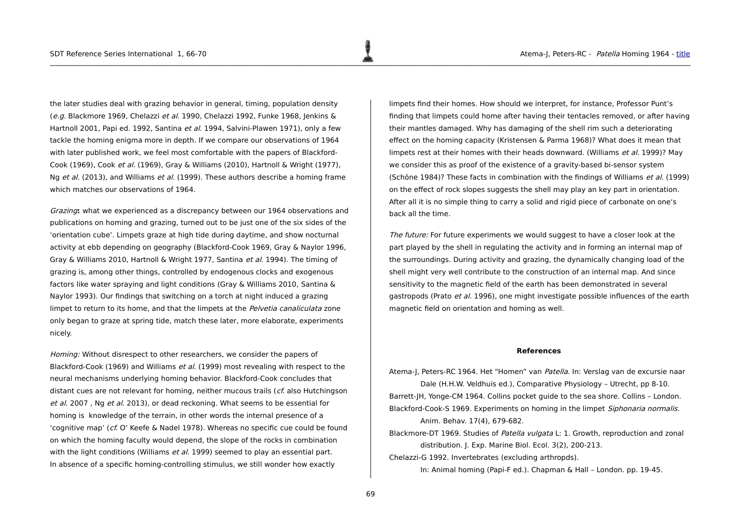the later studies deal with grazing behavior in general, timing, population density (e.g. Blackmore 1969, Chelazzi et al. 1990, Chelazzi 1992, Funke 1968, Jenkins & Hartnoll 2001, Papi ed. 1992, Santina et al. 1994, Salvini-Plawen 1971), only a few tackle the homing enigma more in depth. If we compare our observations of 1964 with later published work, we feel most comfortable with the papers of Blackford-Cook (1969), Cook et al. (1969), Gray & Williams (2010), Hartnoll & Wright (1977), Ng et al. (2013), and Williams et al. (1999). These authors describe a homing frame which matches our observations of 1964.

Grazing**:** what we experienced as a discrepancy between our 1964 observations and publications on homing and grazing, turned out to be just one of the six sides of the 'orientation cube'. Limpets graze at high tide during daytime, and show nocturnal activity at ebb depending on geography (Blackford-Cook 1969, Gray & Naylor 1996, Gray & Williams 2010, Hartnoll & Wright 1977, Santina et al. 1994). The timing of grazing is, among other things, controlled by endogenous clocks and exogenous factors like water spraying and light conditions (Gray & Williams 2010, Santina & Naylor 1993). Our findings that switching on a torch at night induced a grazing limpet to return to its home, and that the limpets at the *Pelvetia canaliculata* zone only began to graze at spring tide, match these later, more elaborate, experiments nicely.

Homing: Without disrespect to other researchers, we consider the papers of Blackford-Cook (1969) and Williams et al. (1999) most revealing with respect to the neural mechanisms underlying homing behavior. Blackford-Cook concludes that distant cues are not relevant for homing, neither mucous trails (cf. also Hutchingson et al. 2007, Ng et al. 2013), or dead reckoning. What seems to be essential for homing is knowledge of the terrain, in other words the internal presence of a 'cognitive map' (cf. O' Keefe & Nadel 1978). Whereas no specific cue could be found on which the homing faculty would depend, the slope of the rocks in combination with the light conditions (Williams et al. 1999) seemed to play an essential part. In absence of a specific homing-controlling stimulus, we still wonder how exactly

limpets find their homes. How should we interpret, for instance, Professor Punt's finding that limpets could home after having their tentacles removed, or after having their mantles damaged. Why has damaging of the shell rim such a deteriorating effect on the homing capacity (Kristensen & Parma 1968)? What does it mean that limpets rest at their homes with their heads downward. (Williams et al. 1999)? May we consider this as proof of the existence of a gravity-based bi-sensor system (Schöne 1984)? These facts in combination with the findings of Williams et al. (1999) on the effect of rock slopes suggests the shell may play an key part in orientation. After all it is no simple thing to carry a solid and rigid piece of carbonate on one's back all the time.

The future: For future experiments we would suggest to have a closer look at the part played by the shell in regulating the activity and in forming an internal map of the surroundings. During activity and grazing, the dynamically changing load of the shell might very well contribute to the construction of an internal map. And since sensitivity to the magnetic field of the earth has been demonstrated in several gastropods (Prato et al. 1996), one might investigate possible influences of the earth magnetic field on orientation and homing as well.

#### <span id="page-3-0"></span>**References**

Atema-J, Peters-RC 1964. Het "Homen" van Patella. In: Verslag van de excursie naar Dale (H.H.W. Veldhuis ed.), Comparative Physiology – Utrecht, pp 8-10. Barrett-JH, Yonge-CM 1964. Collins pocket guide to the sea shore. Collins – London. Blackford-Cook-S 1969. Experiments on homing in the limpet Siphonaria normalis. Anim. Behav. 17(4), 679-682.

Blackmore-DT 1969. Studies of Patella vulgata L: 1. Growth, reproduction and zonal distribution. J. Exp. Marine Biol. Ecol. 3(2), 200-213. Chelazzi-G 1992. Invertebrates (excluding arthropds).

In: Animal homing (Papi-F ed.). Chapman & Hall – London. pp. 19-45.